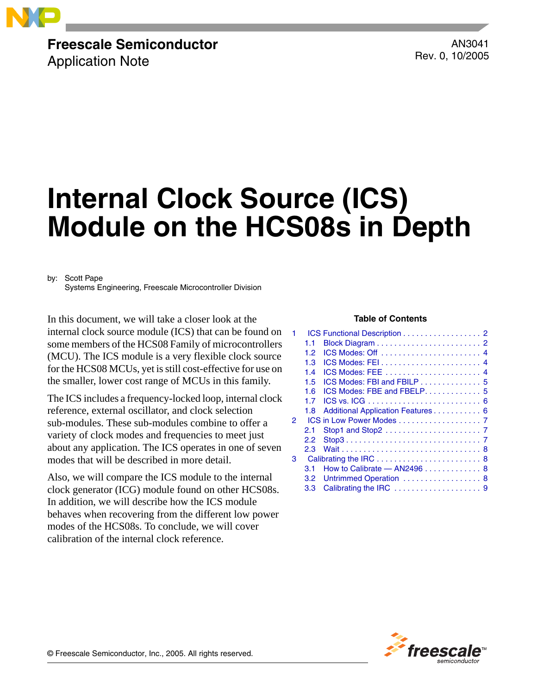

## **Freescale Semiconductor**

Application Note

AN3041 Rev. 0, 10/2005

# **Internal Clock Source (ICS) Module on the HCS08s in Depth**

by: Scott Pape

Systems Engineering, Freescale Microcontroller Division

In this document, we will take a closer look at the **Table of Contents** internal clock source module (ICS) that can be found on some members of the HCS08 Family of microcontrollers (MCU). The ICS module is a very flexible clock source for the HCS08 MCUs, yet is still cost-effective for use on the smaller, lower cost range of MCUs in this family.

The ICS includes a frequency-locked loop, internal clock reference, external oscillator, and clock selection sub-modules. These sub-modules combine to offer a variety of clock modes and frequencies to meet just about any application. The ICS operates in one of seven modes that will be described in more detail.

Also, we will compare the ICS module to the internal clock generator (ICG) module found on other HCS08s. In addition, we will describe how the ICS module behaves when recovering from the different low power modes of the HCS08s. To conclude, we will cover calibration of the internal clock reference.

|   |                  | ICS Functional Description 2                               |
|---|------------------|------------------------------------------------------------|
|   | 1.1              |                                                            |
|   | 1.2 <sub>2</sub> |                                                            |
|   | 1.3              |                                                            |
|   | 1.4              | ICS Modes: FEE  4                                          |
|   | 1.5              | $ICS$ Modes: FBI and FBILP $\ldots \ldots \ldots \ldots 5$ |
|   | 1.6              |                                                            |
|   | 17               |                                                            |
|   | 1.8              | Additional Application Features 6                          |
| 2 |                  | ICS in Low Power Modes 7                                   |
|   | 2.1              |                                                            |
|   | 2.2              |                                                            |
|   | 2.3              |                                                            |
| 3 |                  |                                                            |
|   | 31               | How to Calibrate $-$ AN2496 $\ldots$ , , , 8               |
|   | $3.2 -$          | Untrimmed Operation  8                                     |
|   | 3.3              |                                                            |

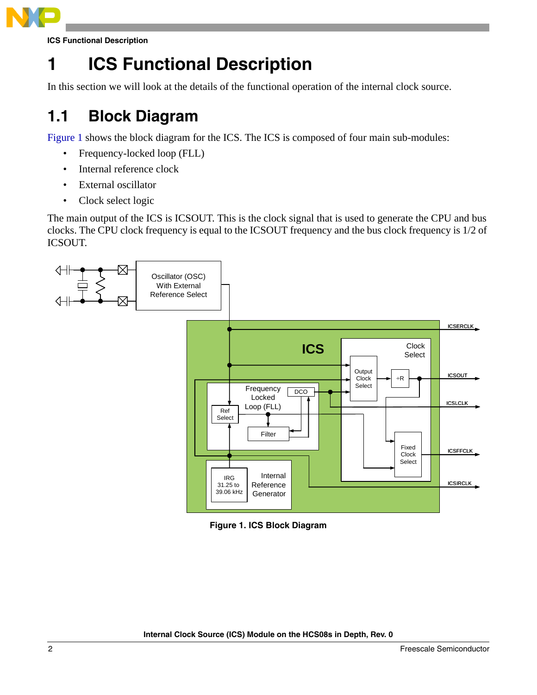

**ICS Functional Description**

## <span id="page-1-0"></span>**1 ICS Functional Description**

In this section we will look at the details of the functional operation of the internal clock source.

### <span id="page-1-1"></span>**1.1 Block Diagram**

[Figure 1](#page-1-2) shows the block diagram for the ICS. The ICS is composed of four main sub-modules:

- Frequency-locked loop (FLL)
- Internal reference clock
- External oscillator
- Clock select logic

The main output of the ICS is ICSOUT. This is the clock signal that is used to generate the CPU and bus clocks. The CPU clock frequency is equal to the ICSOUT frequency and the bus clock frequency is 1/2 of ICSOUT.



<span id="page-1-2"></span>**Figure 1. ICS Block Diagram**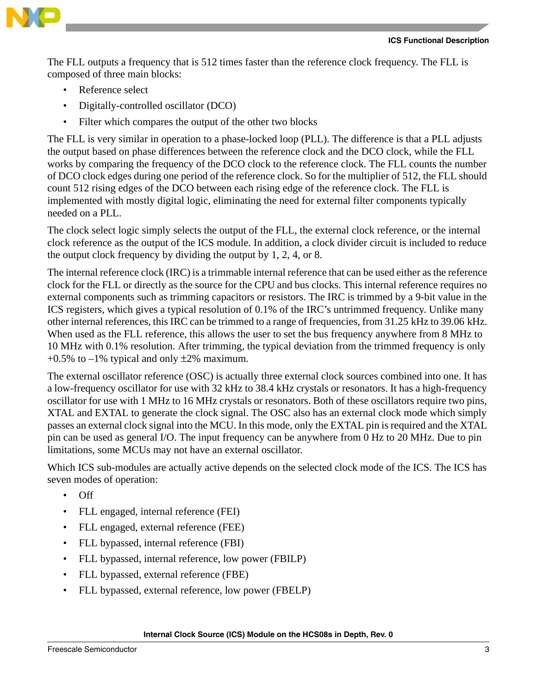

The FLL outputs a frequency that is 512 times faster than the reference clock frequency. The FLL is composed of three main blocks:

- Reference select
- Digitally-controlled oscillator (DCO)
- Filter which compares the output of the other two blocks

The FLL is very similar in operation to a phase-locked loop (PLL). The difference is that a PLL adjusts the output based on phase differences between the reference clock and the DCO clock, while the FLL works by comparing the frequency of the DCO clock to the reference clock. The FLL counts the number of DCO clock edges during one period of the reference clock. So for the multiplier of 512, the FLL should count 512 rising edges of the DCO between each rising edge of the reference clock. The FLL is implemented with mostly digital logic, eliminating the need for external filter components typically needed on a PLL.

The clock select logic simply selects the output of the FLL, the external clock reference, or the internal clock reference as the output of the ICS module. In addition, a clock divider circuit is included to reduce the output clock frequency by dividing the output by 1, 2, 4, or 8.

The internal reference clock (IRC) is a trimmable internal reference that can be used either as the reference clock for the FLL or directly as the source for the CPU and bus clocks. This internal reference requires no external components such as trimming capacitors or resistors. The IRC is trimmed by a 9-bit value in the ICS registers, which gives a typical resolution of 0.1% of the IRC's untrimmed frequency. Unlike many other internal references, this IRC can be trimmed to a range of frequencies, from 31.25 kHz to 39.06 kHz. When used as the FLL reference, this allows the user to set the bus frequency anywhere from 8 MHz to 10 MHz with 0.1% resolution. After trimming, the typical deviation from the trimmed frequency is only  $+0.5\%$  to  $-1\%$  typical and only  $\pm 2\%$  maximum.

The external oscillator reference (OSC) is actually three external clock sources combined into one. It has a low-frequency oscillator for use with 32 kHz to 38.4 kHz crystals or resonators. It has a high-frequency oscillator for use with 1 MHz to 16 MHz crystals or resonators. Both of these oscillators require two pins, XTAL and EXTAL to generate the clock signal. The OSC also has an external clock mode which simply passes an external clock signal into the MCU. In this mode, only the EXTAL pin is required and the XTAL pin can be used as general I/O. The input frequency can be anywhere from 0 Hz to 20 MHz. Due to pin limitations, some MCUs may not have an external oscillator.

Which ICS sub-modules are actually active depends on the selected clock mode of the ICS. The ICS has seven modes of operation:

- Off
- FLL engaged, internal reference (FEI)
- FLL engaged, external reference (FEE)
- FLL bypassed, internal reference (FBI)
- FLL bypassed, internal reference, low power (FBILP)
- FLL bypassed, external reference (FBE)
- FLL bypassed, external reference, low power (FBELP)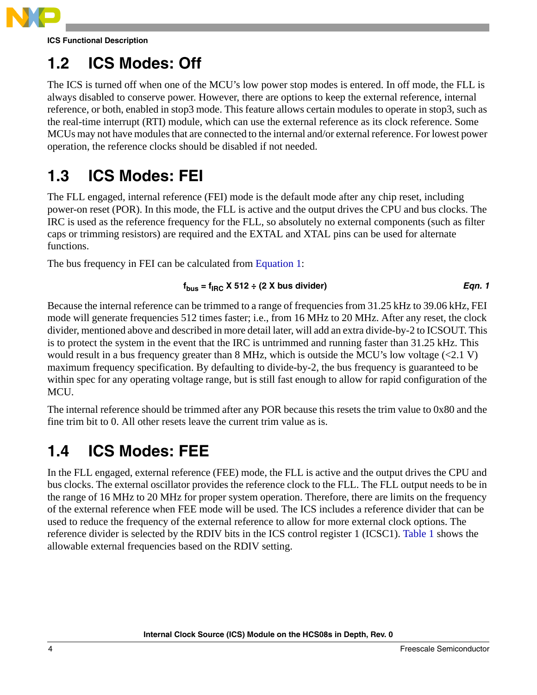

**ICS Functional Description**

### <span id="page-3-0"></span>**1.2 ICS Modes: Off**

The ICS is turned off when one of the MCU's low power stop modes is entered. In off mode, the FLL is always disabled to conserve power. However, there are options to keep the external reference, internal reference, or both, enabled in stop3 mode. This feature allows certain modules to operate in stop3, such as the real-time interrupt (RTI) module, which can use the external reference as its clock reference. Some MCUs may not have modules that are connected to the internal and/or external reference. For lowest power operation, the reference clocks should be disabled if not needed.

#### <span id="page-3-1"></span>**1.3 ICS Modes: FEI**

The FLL engaged, internal reference (FEI) mode is the default mode after any chip reset, including power-on reset (POR). In this mode, the FLL is active and the output drives the CPU and bus clocks. The IRC is used as the reference frequency for the FLL, so absolutely no external components (such as filter caps or trimming resistors) are required and the EXTAL and XTAL pins can be used for alternate functions.

<span id="page-3-3"></span>The bus frequency in FEI can be calculated from [Equation 1:](#page-3-3)

$$
f_{bus} = f_{\text{IRC}} \times 512 \div (2 \times \text{bus divider})
$$
Eqn. 1

Because the internal reference can be trimmed to a range of frequencies from 31.25 kHz to 39.06 kHz, FEI mode will generate frequencies 512 times faster; i.e., from 16 MHz to 20 MHz. After any reset, the clock divider, mentioned above and described in more detail later, will add an extra divide-by-2 to ICSOUT. This is to protect the system in the event that the IRC is untrimmed and running faster than 31.25 kHz. This would result in a bus frequency greater than 8 MHz, which is outside the MCU's low voltage  $(\leq 2.1 \text{ V})$ maximum frequency specification. By defaulting to divide-by-2, the bus frequency is guaranteed to be within spec for any operating voltage range, but is still fast enough to allow for rapid configuration of the MCU.

The internal reference should be trimmed after any POR because this resets the trim value to 0x80 and the fine trim bit to 0. All other resets leave the current trim value as is.

### <span id="page-3-2"></span>**1.4 ICS Modes: FEE**

In the FLL engaged, external reference (FEE) mode, the FLL is active and the output drives the CPU and bus clocks. The external oscillator provides the reference clock to the FLL. The FLL output needs to be in the range of 16 MHz to 20 MHz for proper system operation. Therefore, there are limits on the frequency of the external reference when FEE mode will be used. The ICS includes a reference divider that can be used to reduce the frequency of the external reference to allow for more external clock options. The reference divider is selected by the RDIV bits in the ICS control register 1 (ICSC1). [Table 1](#page-4-2) shows the allowable external frequencies based on the RDIV setting.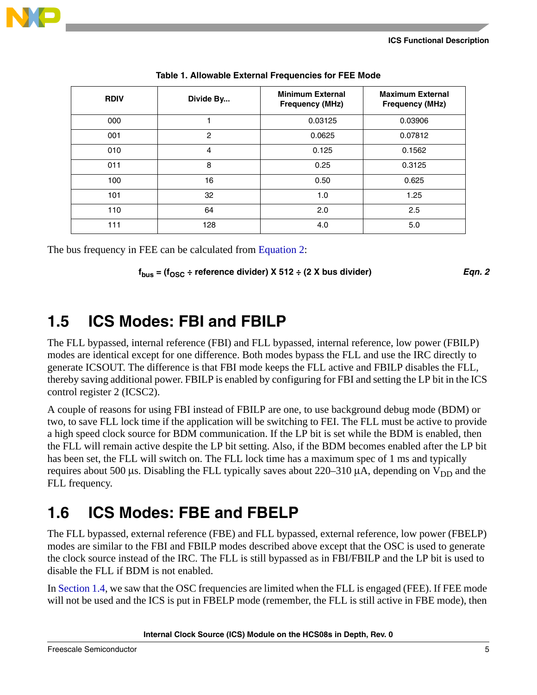

<span id="page-4-2"></span>

| <b>RDIV</b> | Divide By | <b>Minimum External</b><br><b>Frequency (MHz)</b> | <b>Maximum External</b><br><b>Frequency (MHz)</b> |
|-------------|-----------|---------------------------------------------------|---------------------------------------------------|
| 000         |           | 0.03125                                           | 0.03906                                           |
| 001         | 2         | 0.0625                                            | 0.07812                                           |
| 010         | 4         | 0.125                                             | 0.1562                                            |
| 011         | 8         | 0.25                                              | 0.3125                                            |
| 100         | 16        | 0.50                                              | 0.625                                             |
| 101         | 32        | 1.0                                               | 1.25                                              |
| 110         | 64        | 2.0                                               | 2.5                                               |
| 111         | 128       | 4.0                                               | 5.0                                               |

| Table 1. Allowable External Frequencies for FEE Mode |  |  |
|------------------------------------------------------|--|--|
|                                                      |  |  |

<span id="page-4-3"></span>The bus frequency in FEE can be calculated from [Equation 2](#page-4-3):

 $f_{\text{bus}} = (f_{\text{OSC}} \div \text{reference} \text{divider}) \times 512 \div (2 \times \text{bus} \text{divider})$  *Eqn. 2* 

#### <span id="page-4-0"></span>**1.5 ICS Modes: FBI and FBILP**

The FLL bypassed, internal reference (FBI) and FLL bypassed, internal reference, low power (FBILP) modes are identical except for one difference. Both modes bypass the FLL and use the IRC directly to generate ICSOUT. The difference is that FBI mode keeps the FLL active and FBILP disables the FLL, thereby saving additional power. FBILP is enabled by configuring for FBI and setting the LP bit in the ICS control register 2 (ICSC2).

A couple of reasons for using FBI instead of FBILP are one, to use background debug mode (BDM) or two, to save FLL lock time if the application will be switching to FEI. The FLL must be active to provide a high speed clock source for BDM communication. If the LP bit is set while the BDM is enabled, then the FLL will remain active despite the LP bit setting. Also, if the BDM becomes enabled after the LP bit has been set, the FLL will switch on. The FLL lock time has a maximum spec of 1 ms and typically requires about 500  $\mu$ s. Disabling the FLL typically saves about 220–310  $\mu$ A, depending on V<sub>DD</sub> and the FLL frequency.

#### <span id="page-4-1"></span>**1.6 ICS Modes: FBE and FBELP**

The FLL bypassed, external reference (FBE) and FLL bypassed, external reference, low power (FBELP) modes are similar to the FBI and FBILP modes described above except that the OSC is used to generate the clock source instead of the IRC. The FLL is still bypassed as in FBI/FBILP and the LP bit is used to disable the FLL if BDM is not enabled.

In [Section 1.4,](#page-3-2) we saw that the OSC frequencies are limited when the FLL is engaged (FEE). If FEE mode will not be used and the ICS is put in FBELP mode (remember, the FLL is still active in FBE mode), then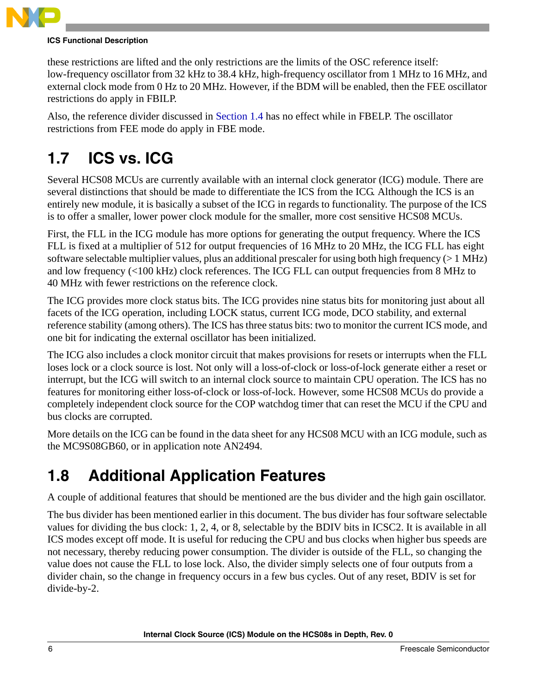

#### **ICS Functional Description**

these restrictions are lifted and the only restrictions are the limits of the OSC reference itself: low-frequency oscillator from 32 kHz to 38.4 kHz, high-frequency oscillator from 1 MHz to 16 MHz, and external clock mode from 0 Hz to 20 MHz. However, if the BDM will be enabled, then the FEE oscillator restrictions do apply in FBILP.

Also, the reference divider discussed in [Section 1.4](#page-3-2) has no effect while in FBELP. The oscillator restrictions from FEE mode do apply in FBE mode.

### <span id="page-5-0"></span>**1.7 ICS vs. ICG**

Several HCS08 MCUs are currently available with an internal clock generator (ICG) module. There are several distinctions that should be made to differentiate the ICS from the ICG. Although the ICS is an entirely new module, it is basically a subset of the ICG in regards to functionality. The purpose of the ICS is to offer a smaller, lower power clock module for the smaller, more cost sensitive HCS08 MCUs.

First, the FLL in the ICG module has more options for generating the output frequency. Where the ICS FLL is fixed at a multiplier of 512 for output frequencies of 16 MHz to 20 MHz, the ICG FLL has eight software selectable multiplier values, plus an additional prescaler for using both high frequency (> 1 MHz) and low frequency (<100 kHz) clock references. The ICG FLL can output frequencies from 8 MHz to 40 MHz with fewer restrictions on the reference clock.

The ICG provides more clock status bits. The ICG provides nine status bits for monitoring just about all facets of the ICG operation, including LOCK status, current ICG mode, DCO stability, and external reference stability (among others). The ICS has three status bits: two to monitor the current ICS mode, and one bit for indicating the external oscillator has been initialized.

The ICG also includes a clock monitor circuit that makes provisions for resets or interrupts when the FLL loses lock or a clock source is lost. Not only will a loss-of-clock or loss-of-lock generate either a reset or interrupt, but the ICG will switch to an internal clock source to maintain CPU operation. The ICS has no features for monitoring either loss-of-clock or loss-of-lock. However, some HCS08 MCUs do provide a completely independent clock source for the COP watchdog timer that can reset the MCU if the CPU and bus clocks are corrupted.

More details on the ICG can be found in the data sheet for any HCS08 MCU with an ICG module, such as the MC9S08GB60, or in application note AN2494.

### <span id="page-5-1"></span>**1.8 Additional Application Features**

A couple of additional features that should be mentioned are the bus divider and the high gain oscillator.

The bus divider has been mentioned earlier in this document. The bus divider has four software selectable values for dividing the bus clock: 1, 2, 4, or 8, selectable by the BDIV bits in ICSC2. It is available in all ICS modes except off mode. It is useful for reducing the CPU and bus clocks when higher bus speeds are not necessary, thereby reducing power consumption. The divider is outside of the FLL, so changing the value does not cause the FLL to lose lock. Also, the divider simply selects one of four outputs from a divider chain, so the change in frequency occurs in a few bus cycles. Out of any reset, BDIV is set for divide-by-2.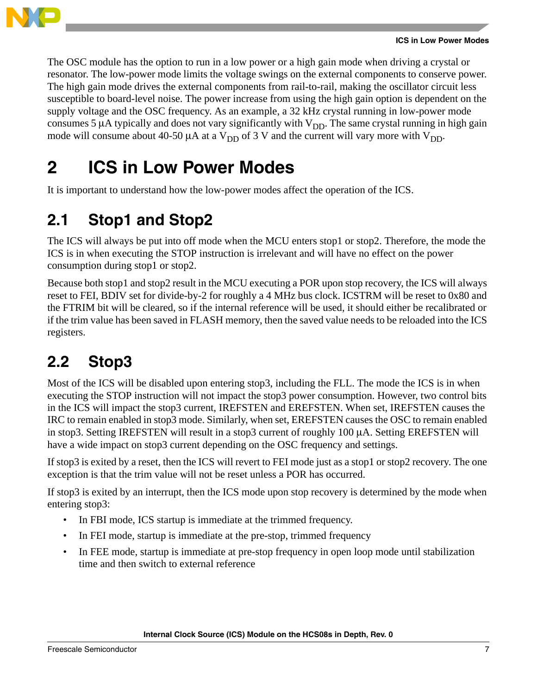

The OSC module has the option to run in a low power or a high gain mode when driving a crystal or resonator. The low-power mode limits the voltage swings on the external components to conserve power. The high gain mode drives the external components from rail-to-rail, making the oscillator circuit less susceptible to board-level noise. The power increase from using the high gain option is dependent on the supply voltage and the OSC frequency. As an example, a 32 kHz crystal running in low-power mode consumes 5  $\mu$ A typically and does not vary significantly with  $V_{DD}$ . The same crystal running in high gain mode will consume about 40-50  $\mu$ A at a V<sub>DD</sub> of 3 V and the current will vary more with V<sub>DD</sub>.

### <span id="page-6-0"></span>**2 ICS in Low Power Modes**

It is important to understand how the low-power modes affect the operation of the ICS.

### <span id="page-6-1"></span>**2.1 Stop1 and Stop2**

The ICS will always be put into off mode when the MCU enters stop1 or stop2. Therefore, the mode the ICS is in when executing the STOP instruction is irrelevant and will have no effect on the power consumption during stop1 or stop2.

Because both stop1 and stop2 result in the MCU executing a POR upon stop recovery, the ICS will always reset to FEI, BDIV set for divide-by-2 for roughly a 4 MHz bus clock. ICSTRM will be reset to 0x80 and the FTRIM bit will be cleared, so if the internal reference will be used, it should either be recalibrated or if the trim value has been saved in FLASH memory, then the saved value needs to be reloaded into the ICS registers.

### <span id="page-6-2"></span>**2.2 Stop3**

Most of the ICS will be disabled upon entering stop3, including the FLL. The mode the ICS is in when executing the STOP instruction will not impact the stop3 power consumption. However, two control bits in the ICS will impact the stop3 current, IREFSTEN and EREFSTEN. When set, IREFSTEN causes the IRC to remain enabled in stop3 mode. Similarly, when set, EREFSTEN causes the OSC to remain enabled in stop3. Setting IREFSTEN will result in a stop3 current of roughly 100 µA. Setting EREFSTEN will have a wide impact on stop3 current depending on the OSC frequency and settings.

If stop3 is exited by a reset, then the ICS will revert to FEI mode just as a stop1 or stop2 recovery. The one exception is that the trim value will not be reset unless a POR has occurred.

If stop3 is exited by an interrupt, then the ICS mode upon stop recovery is determined by the mode when entering stop3:

- In FBI mode, ICS startup is immediate at the trimmed frequency.
- In FEI mode, startup is immediate at the pre-stop, trimmed frequency
- In FEE mode, startup is immediate at pre-stop frequency in open loop mode until stabilization time and then switch to external reference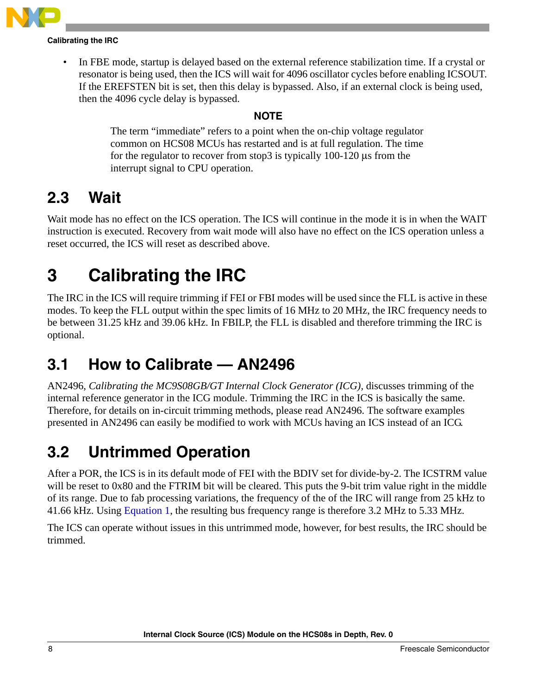

#### **Calibrating the IRC**

In FBE mode, startup is delayed based on the external reference stabilization time. If a crystal or resonator is being used, then the ICS will wait for 4096 oscillator cycles before enabling ICSOUT. If the EREFSTEN bit is set, then this delay is bypassed. Also, if an external clock is being used, then the 4096 cycle delay is bypassed.

#### **NOTE**

The term "immediate" refers to a point when the on-chip voltage regulator common on HCS08 MCUs has restarted and is at full regulation. The time for the regulator to recover from stop3 is typically 100-120 µs from the interrupt signal to CPU operation.

#### <span id="page-7-0"></span>**2.3 Wait**

Wait mode has no effect on the ICS operation. The ICS will continue in the mode it is in when the WAIT instruction is executed. Recovery from wait mode will also have no effect on the ICS operation unless a reset occurred, the ICS will reset as described above.

### <span id="page-7-1"></span>**3 Calibrating the IRC**

The IRC in the ICS will require trimming if FEI or FBI modes will be used since the FLL is active in these modes. To keep the FLL output within the spec limits of 16 MHz to 20 MHz, the IRC frequency needs to be between 31.25 kHz and 39.06 kHz. In FBILP, the FLL is disabled and therefore trimming the IRC is optional.

#### <span id="page-7-2"></span>**3.1 How to Calibrate — AN2496**

AN2496, *Calibrating the MC9S08GB/GT Internal Clock Generator (ICG),* discusses trimming of the internal reference generator in the ICG module. Trimming the IRC in the ICS is basically the same. Therefore, for details on in-circuit trimming methods, please read AN2496. The software examples presented in AN2496 can easily be modified to work with MCUs having an ICS instead of an ICG.

#### <span id="page-7-3"></span>**3.2 Untrimmed Operation**

After a POR, the ICS is in its default mode of FEI with the BDIV set for divide-by-2. The ICSTRM value will be reset to 0x80 and the FTRIM bit will be cleared. This puts the 9-bit trim value right in the middle of its range. Due to fab processing variations, the frequency of the of the IRC will range from 25 kHz to 41.66 kHz. Using [Equation 1,](#page-3-3) the resulting bus frequency range is therefore 3.2 MHz to 5.33 MHz.

The ICS can operate without issues in this untrimmed mode, however, for best results, the IRC should be trimmed.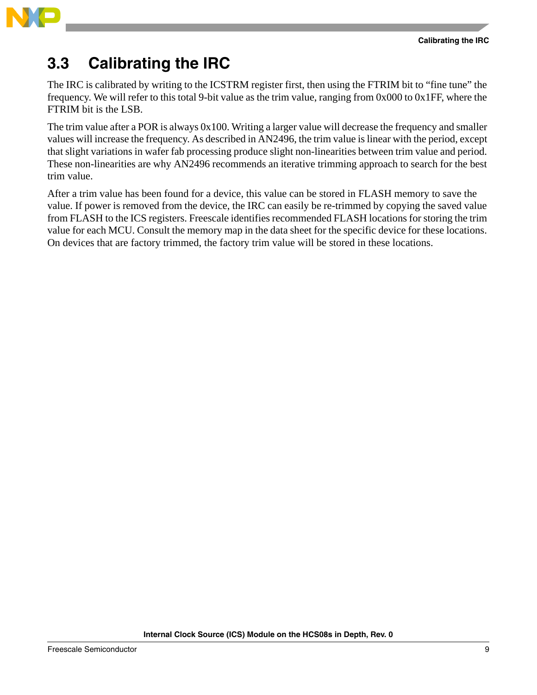

#### <span id="page-8-0"></span>**3.3 Calibrating the IRC**

The IRC is calibrated by writing to the ICSTRM register first, then using the FTRIM bit to "fine tune" the frequency. We will refer to this total 9-bit value as the trim value, ranging from 0x000 to 0x1FF, where the FTRIM bit is the LSB.

The trim value after a POR is always 0x100. Writing a larger value will decrease the frequency and smaller values will increase the frequency. As described in AN2496, the trim value is linear with the period, except that slight variations in wafer fab processing produce slight non-linearities between trim value and period. These non-linearities are why AN2496 recommends an iterative trimming approach to search for the best trim value.

After a trim value has been found for a device, this value can be stored in FLASH memory to save the value. If power is removed from the device, the IRC can easily be re-trimmed by copying the saved value from FLASH to the ICS registers. Freescale identifies recommended FLASH locations for storing the trim value for each MCU. Consult the memory map in the data sheet for the specific device for these locations. On devices that are factory trimmed, the factory trim value will be stored in these locations.